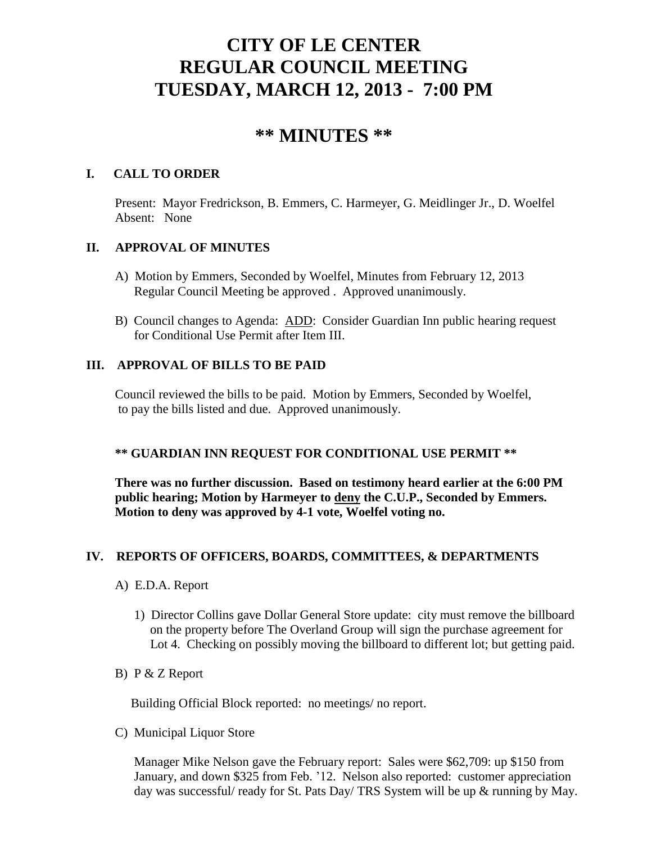# **CITY OF LE CENTER REGULAR COUNCIL MEETING TUESDAY, MARCH 12, 2013 - 7:00 PM**

# **\*\* MINUTES \*\***

# **I. CALL TO ORDER**

Present: Mayor Fredrickson, B. Emmers, C. Harmeyer, G. Meidlinger Jr., D. Woelfel Absent: None

# **II. APPROVAL OF MINUTES**

- A) Motion by Emmers, Seconded by Woelfel, Minutes from February 12, 2013 Regular Council Meeting be approved . Approved unanimously.
- B) Council changes to Agenda: ADD: Consider Guardian Inn public hearing request for Conditional Use Permit after Item III.

# **III. APPROVAL OF BILLS TO BE PAID**

Council reviewed the bills to be paid. Motion by Emmers, Seconded by Woelfel, to pay the bills listed and due. Approved unanimously.

# **\*\* GUARDIAN INN REQUEST FOR CONDITIONAL USE PERMIT \*\***

**There was no further discussion. Based on testimony heard earlier at the 6:00 PM public hearing; Motion by Harmeyer to deny the C.U.P., Seconded by Emmers. Motion to deny was approved by 4-1 vote, Woelfel voting no.**

# **IV. REPORTS OF OFFICERS, BOARDS, COMMITTEES, & DEPARTMENTS**

- A) E.D.A. Report
	- 1) Director Collins gave Dollar General Store update: city must remove the billboard on the property before The Overland Group will sign the purchase agreement for Lot 4. Checking on possibly moving the billboard to different lot; but getting paid.
- B) P & Z Report

Building Official Block reported: no meetings/ no report.

C) Municipal Liquor Store

Manager Mike Nelson gave the February report: Sales were \$62,709: up \$150 from January, and down \$325 from Feb. '12. Nelson also reported: customer appreciation day was successful/ ready for St. Pats Day/ TRS System will be up & running by May.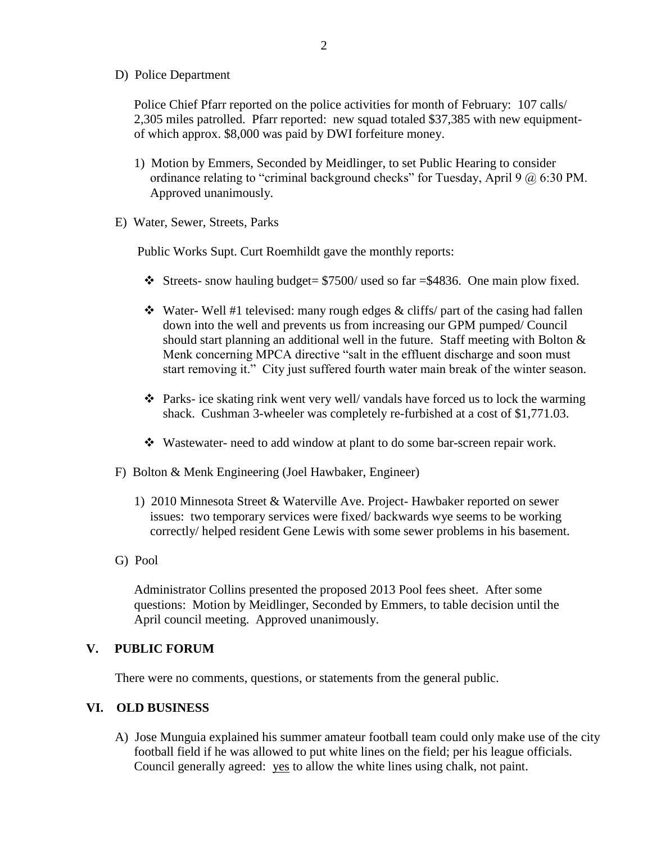D) Police Department

Police Chief Pfarr reported on the police activities for month of February: 107 calls/ 2,305 miles patrolled. Pfarr reported: new squad totaled \$37,385 with new equipmentof which approx. \$8,000 was paid by DWI forfeiture money.

- 1) Motion by Emmers, Seconded by Meidlinger, to set Public Hearing to consider ordinance relating to "criminal background checks" for Tuesday, April 9 @ 6:30 PM. Approved unanimously.
- E) Water, Sewer, Streets, Parks

Public Works Supt. Curt Roemhildt gave the monthly reports:

- $\div$  Streets- snow hauling budget= \$7500/ used so far =\$4836. One main plow fixed.
- $\cdot$  Water- Well #1 televised: many rough edges & cliffs/ part of the casing had fallen down into the well and prevents us from increasing our GPM pumped/ Council should start planning an additional well in the future. Staff meeting with Bolton  $\&$ Menk concerning MPCA directive "salt in the effluent discharge and soon must start removing it." City just suffered fourth water main break of the winter season.
- Parks- ice skating rink went very well/ vandals have forced us to lock the warming shack. Cushman 3-wheeler was completely re-furbished at a cost of \$1,771.03.
- Wastewater- need to add window at plant to do some bar-screen repair work.
- F) Bolton & Menk Engineering (Joel Hawbaker, Engineer)
	- 1) 2010 Minnesota Street & Waterville Ave. Project- Hawbaker reported on sewer issues: two temporary services were fixed/ backwards wye seems to be working correctly/ helped resident Gene Lewis with some sewer problems in his basement.
- G) Pool

 Administrator Collins presented the proposed 2013 Pool fees sheet. After some questions: Motion by Meidlinger, Seconded by Emmers, to table decision until the April council meeting. Approved unanimously.

#### **V. PUBLIC FORUM**

There were no comments, questions, or statements from the general public.

#### **VI. OLD BUSINESS**

A) Jose Munguia explained his summer amateur football team could only make use of the city football field if he was allowed to put white lines on the field; per his league officials. Council generally agreed: yes to allow the white lines using chalk, not paint.